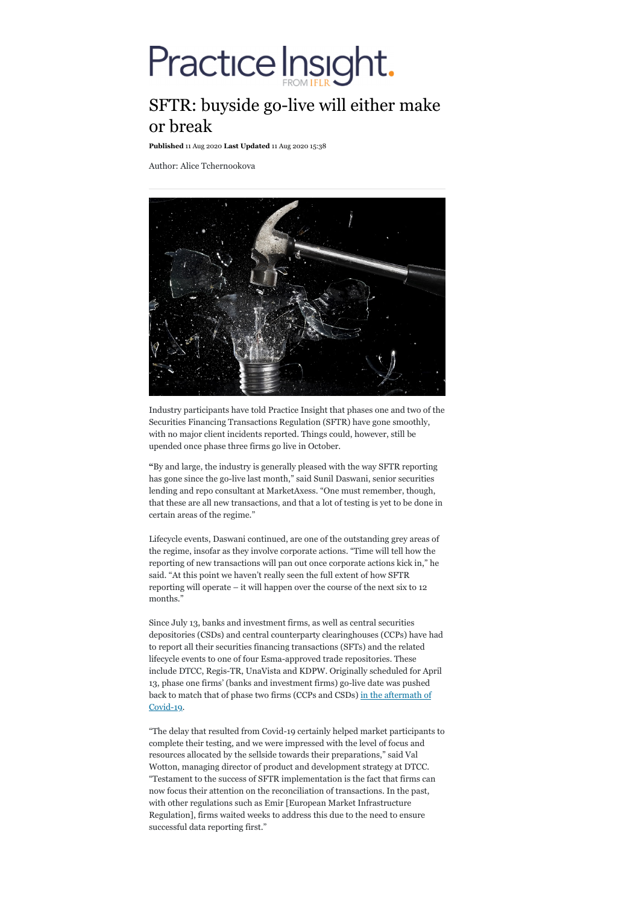# Practice Insight.

# SFTR: buyside go-live will either make or break

**Published** 11 Aug 2020 **Last Updated** 11 Aug 2020 15:38

Author: Alice Tchernookova



Industry participants have told Practice Insight that phases one and two of the Securities Financing Transactions Regulation (SFTR) have gone smoothly, with no major client incidents reported. Things could, however, still be upended once phase three firms go live in October.

**"**By and large, the industry is generally pleased with the way SFTR reporting has gone since the go-live last month," said Sunil Daswani, senior securities lending and repo consultant at MarketAxess. "One must remember, though, that these are all new transactions, and that a lot of testing is yet to be done in certain areas of the regime."

Lifecycle events, Daswani continued, are one of the outstanding grey areas of the regime, insofar as they involve corporate actions. "Time will tell how the reporting of new transactions will pan out once corporate actions kick in," he said. "At this point we haven't really seen the full extent of how SFTR reporting will operate – it will happen over the course of the next six to 12 months."

Since July 13, banks and investment firms, as well as central securities depositories (CSDs) and central counterparty clearinghouses (CCPs) have had to report all their securities financing transactions (SFTs) and the related lifecycle events to one of four Esma-approved trade repositories. These include DTCC, Regis-TR, UnaVista and KDPW. Originally scheduled for April 13, phase one firms' (banks and investment firms) go-live date was pushed back to match that of phase two firms (CCPs and CSDs) in the aftermath of Covid-19.

"The delay that resulted from Covid-19 certainly helped market participants to complete their testing, and we were impressed with the level of focus and resources allocated by the sellside towards their preparations," said Val Wotton, managing director of product and development strategy at DTCC. "Testament to the success of SFTR implementation is the fact that firms can now focus their attention on the reconciliation of transactions. In the past, with other regulations such as Emir [European Market Infrastructure Regulation], firms waited weeks to address this due to the need to ensure successful data reporting first."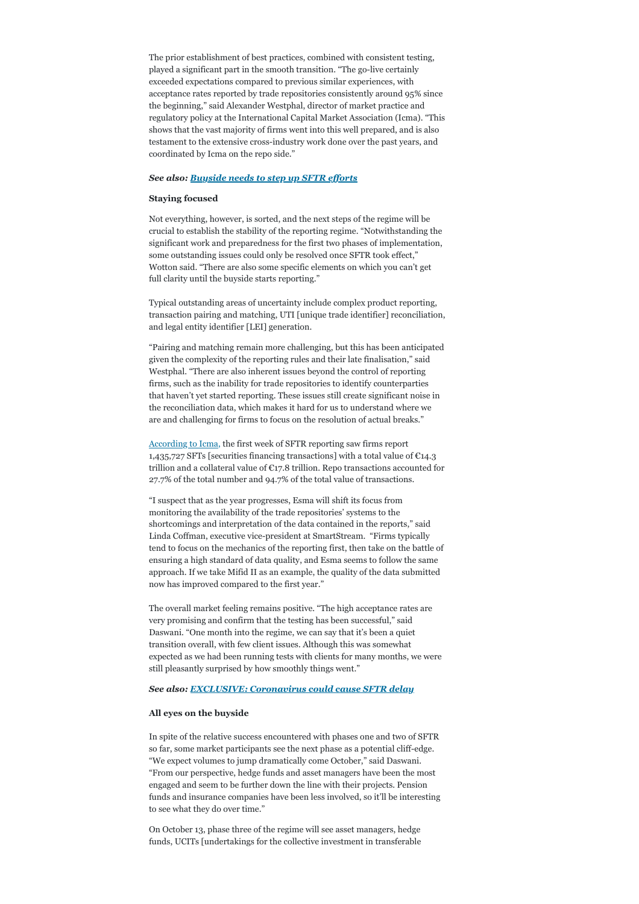The prior establishment of best practices, combined with consistent testing, played a significant part in the smooth transition. "The go-live certainly exceeded expectations compared to previous similar experiences, with acceptance rates reported by trade repositories consistently around 95% since the beginning," said Alexander Westphal, director of market practice and regulatory policy at the International Capital Market Association (Icma). "This shows that the vast majority of firms went into this well prepared, and is also testament to the extensive cross-industry work done over the past years, and coordinated by Icma on the repo side."

### *See also: Buyside needs to step up SFTR efforts*

#### **Staying focused**

Not everything, however, is sorted, and the next steps of the regime will be crucial to establish the stability of the reporting regime. "Notwithstanding the significant work and preparedness for the first two phases of implementation, some outstanding issues could only be resolved once SFTR took effect," Wotton said. "There are also some specific elements on which you can't get full clarity until the buyside starts reporting."

Typical outstanding areas of uncertainty include complex product reporting, transaction pairing and matching, UTI [unique trade identifier] reconciliation, and legal entity identifier [LEI] generation.

"Pairing and matching remain more challenging, but this has been anticipated given the complexity of the reporting rules and their late finalisation," said Westphal. "There are also inherent issues beyond the control of reporting firms, such as the inability for trade repositories to identify counterparties that haven't yet started reporting. These issues still create significant noise in the reconciliation data, which makes it hard for us to understand where we are and challenging for firms to focus on the resolution of actual breaks."

According to Icma, the first week of SFTR reporting saw firms report 1,435,727 SFTs [securities financing transactions] with a total value of  $\mathfrak{C}14.3$ trillion and a collateral value of €17.8 trillion. Repo transactions accounted for 27.7% of the total number and 94.7% of the total value of transactions.

"I suspect that as the year progresses, Esma will shift its focus from monitoring the availability of the trade repositories' systems to the shortcomings and interpretation of the data contained in the reports," said Linda Coffman, executive vice-president at SmartStream. "Firms typically tend to focus on the mechanics of the reporting first, then take on the battle of ensuring a high standard of data quality, and Esma seems to follow the same approach. If we take Mifid II as an example, the quality of the data submitted now has improved compared to the first year."

The overall market feeling remains positive. "The high acceptance rates are very promising and confirm that the testing has been successful," said Daswani. "One month into the regime, we can say that it's been a quiet transition overall, with few client issues. Although this was somewhat expected as we had been running tests with clients for many months, we were still pleasantly surprised by how smoothly things went."

# *See also: EXCLUSIVE: Coronavirus could cause SFTR delay*

# **All eyes on the buyside**

In spite of the relative success encountered with phases one and two of SFTR so far, some market participants see the next phase as a potential cliff-edge. "We expect volumes to jump dramatically come October," said Daswani. "From our perspective, hedge funds and asset managers have been the most engaged and seem to be further down the line with their projects. Pension funds and insurance companies have been less involved, so it'll be interesting to see what they do over time."

On October 13, phase three of the regime will see asset managers, hedge funds, UCITs [undertakings for the collective investment in transferable